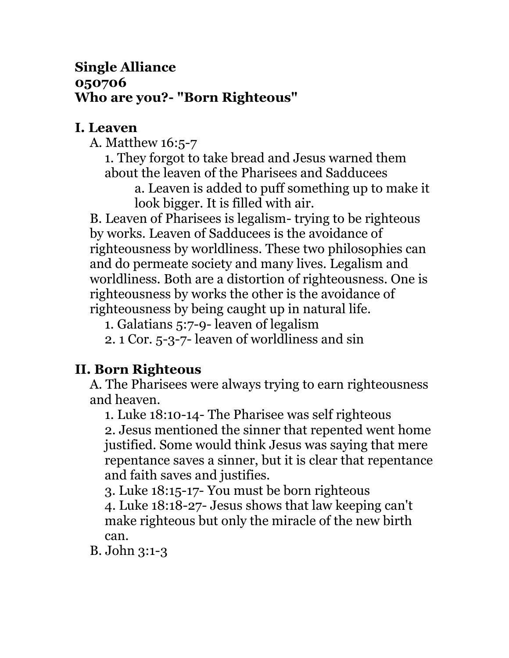#### **Single Alliance 050706 Who are you?- "Born Righteous"**

#### **I. Leaven**

A. Matthew 16:5-7

1. They forgot to take bread and Jesus warned them about the leaven of the Pharisees and Sadducees

a. Leaven is added to puff something up to make it look bigger. It is filled with air.

B. Leaven of Pharisees is legalism- trying to be righteous by works. Leaven of Sadducees is the avoidance of righteousness by worldliness. These two philosophies can and do permeate society and many lives. Legalism and worldliness. Both are a distortion of righteousness. One is righteousness by works the other is the avoidance of righteousness by being caught up in natural life.

1. Galatians 5:7-9- leaven of legalism

2. 1 Cor. 5-3-7- leaven of worldliness and sin

# **II. Born Righteous**

A. The Pharisees were always trying to earn righteousness and heaven.

1. Luke 18:10-14- The Pharisee was self righteous

2. Jesus mentioned the sinner that repented went home justified. Some would think Jesus was saying that mere repentance saves a sinner, but it is clear that repentance and faith saves and justifies.

3. Luke 18:15-17- You must be born righteous

4. Luke 18:18-27- Jesus shows that law keeping can't make righteous but only the miracle of the new birth can.

B. John 3:1-3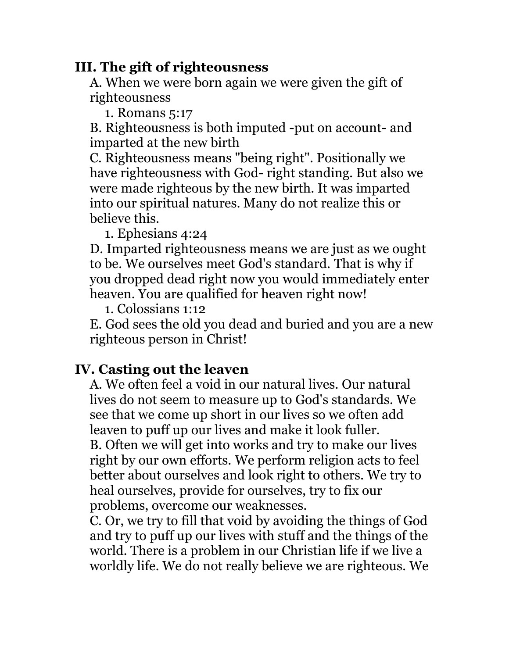### **III. The gift of righteousness**

A. When we were born again we were given the gift of righteousness

1. Romans 5:17

B. Righteousness is both imputed -put on account- and imparted at the new birth

C. Righteousness means "being right". Positionally we have righteousness with God- right standing. But also we were made righteous by the new birth. It was imparted into our spiritual natures. Many do not realize this or believe this.

1. Ephesians 4:24

D. Imparted righteousness means we are just as we ought to be. We ourselves meet God's standard. That is why if you dropped dead right now you would immediately enter heaven. You are qualified for heaven right now!

1. Colossians 1:12

E. God sees the old you dead and buried and you are a new righteous person in Christ!

# **IV. Casting out the leaven**

A. We often feel a void in our natural lives. Our natural lives do not seem to measure up to God's standards. We see that we come up short in our lives so we often add leaven to puff up our lives and make it look fuller.

B. Often we will get into works and try to make our lives right by our own efforts. We perform religion acts to feel better about ourselves and look right to others. We try to heal ourselves, provide for ourselves, try to fix our problems, overcome our weaknesses.

C. Or, we try to fill that void by avoiding the things of God and try to puff up our lives with stuff and the things of the world. There is a problem in our Christian life if we live a worldly life. We do not really believe we are righteous. We